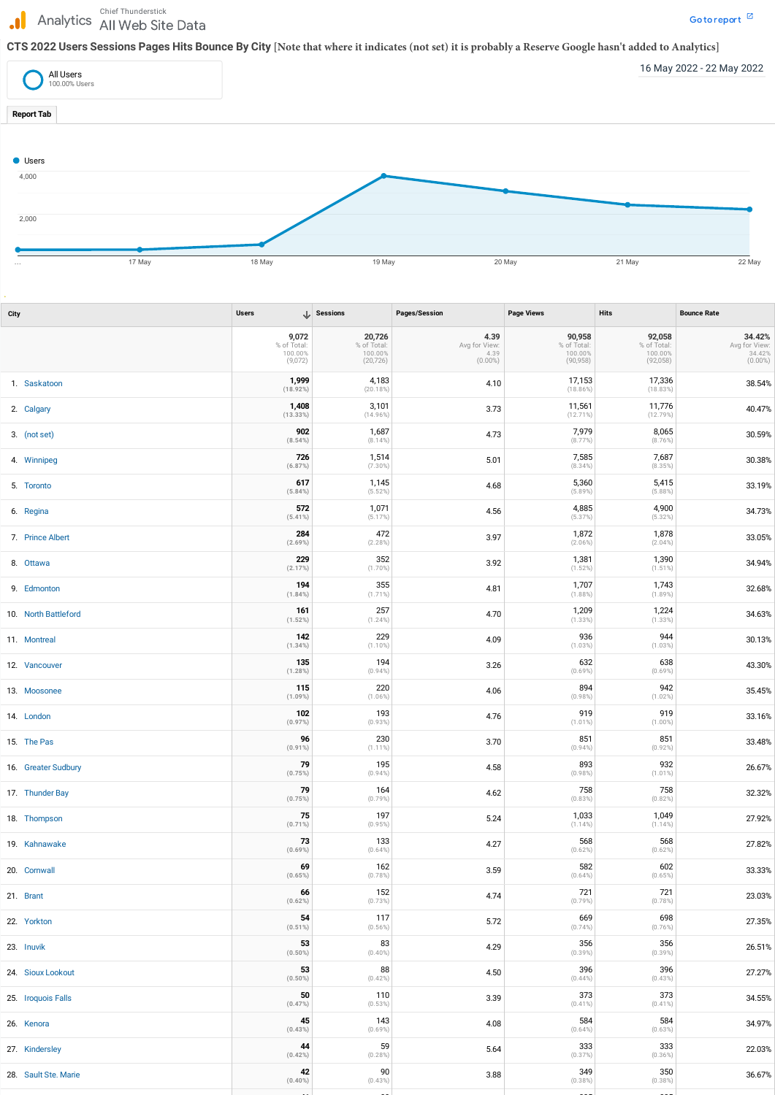## Analytics and the Site Data Government of the Site Data Government  $\mathbb Z$  and  $\mathbb Z$  are separated the Government  $\mathbb Z$ J.

## **CTS 2022 Users Sessions Pages Hits Bounce By City [Note that where it indicates (not set) it is probably a Reserve Google hasn't added to Analytics]**

| <b>City</b>          | <b>Users</b>                               | $\downarrow$ Sessions                         | Pages/Session                               | <b>Page Views</b>                             | <b>Hits</b>                                   | <b>Bounce Rate</b>                           |
|----------------------|--------------------------------------------|-----------------------------------------------|---------------------------------------------|-----------------------------------------------|-----------------------------------------------|----------------------------------------------|
|                      | 9,072<br>% of Total:<br>100.00%<br>(9,072) | 20,726<br>% of Total:<br>100.00%<br>(20, 726) | 4.39<br>Avg for View:<br>4.39<br>$(0.00\%)$ | 90,958<br>% of Total:<br>100.00%<br>(90, 958) | 92,058<br>% of Total:<br>100.00%<br>(92, 058) | 34.42%<br>Avg for View:<br>34.42%<br>(0.00%) |
| 1. Saskatoon         | 1,999<br>(18.92%)                          | 4,183<br>(20.18%)                             | 4.10                                        | 17,153<br>$(18.86\%)$                         | 17,336<br>$(18.83\%)$                         | 38.54%                                       |
| 2. Calgary           | 1,408<br>(13.33%)                          | 3,101<br>$(14.96\%)$                          | 3.73                                        | 11,561<br>$(12.71\%)$                         | 11,776<br>(12.79%)                            | 40.47%                                       |
| 3. (not set)         | 902<br>(8.54%)                             | 1,687<br>$(8.14\%)$                           | 4.73                                        | 7,979<br>$(8.77\%)$                           | 8,065<br>$(8.76\%)$                           | 30.59%                                       |
| 4. Winnipeg          | 726<br>(6.87%)                             | 1,514<br>$(7.30\%)$                           | 5.01                                        | 7,585<br>$(8.34\%)$                           | 7,687<br>(8.35%)                              | 30.38%                                       |
| 5. Toronto           | 617<br>$(5.84\%)$                          | 1,145<br>(5.52%)                              | 4.68                                        | 5,360<br>$(5.89\%)$                           | 5,415<br>$(5.88\%)$                           | 33.19%                                       |
| 6. Regina            | 572<br>$(5.41\%)$                          | 1,071<br>$(5.17\%)$                           | 4.56                                        | 4,885<br>(5.37%)                              | 4,900<br>$(5.32\%)$                           | 34.73%                                       |
| 7. Prince Albert     | 284<br>$(2.69\%)$                          | 472<br>$(2.28\%)$                             | 3.97                                        | 1,872<br>$(2.06\%)$                           | 1,878<br>$(2.04\%)$                           | 33.05%                                       |
| 8. Ottawa            | 229<br>(2.17%)                             | 352<br>$(1.70\%)$                             | 3.92                                        | 1,381<br>$(1.52\%)$                           | 1,390<br>$(1.51\%)$                           | 34.94%                                       |
| 9. Edmonton          | 194<br>(1.84%)                             | 355<br>$(1.71\%)$                             | 4.81                                        | 1,707<br>$(1.88\%)$                           | 1,743<br>$(1.89\%)$                           | 32.68%                                       |
| 10. North Battleford | 161<br>(1.52%)                             | 257<br>$(1.24\%)$                             | 4.70                                        | 1,209<br>$(1.33\%)$                           | 1,224<br>$(1.33\%)$                           | 34.63%                                       |
| 11. Montreal         | 142<br>(1.34%)                             | 229<br>$(1.10\%)$                             | 4.09                                        | 936<br>$(1.03\%)$                             | 944<br>$(1.03\%)$                             | 30.13%                                       |
| 12. Vancouver        | 135<br>$(1.28\%)$                          | 194<br>$(0.94\%)$                             | 3.26                                        | 632<br>$(0.69\%)$                             | 638<br>$(0.69\%)$                             | 43.30%                                       |
| 13. Moosonee         | 115<br>$(1.09\%)$                          | 220<br>$(1.06\%)$                             | 4.06                                        | 894<br>$(0.98\%)$                             | 942<br>$(1.02\%)$                             | 35.45%                                       |
| 14. London           | 102<br>(0.97%)                             | 193<br>$(0.93\%)$                             | 4.76                                        | 919<br>$(1.01\%)$                             | 919<br>$(1.00\%)$                             | 33.16%                                       |
| 15. The Pas          | 96<br>$(0.91\%)$                           | 230<br>$(1.11\%)$                             | 3.70                                        | 851<br>$(0.94\%)$                             | 851<br>$(0.92\%)$                             | 33.48%                                       |
| 16. Greater Sudbury  | 79<br>(0.75%)                              | 195<br>$(0.94\%)$                             | 4.58                                        | 893<br>$(0.98\%)$                             | 932<br>$(1.01\%)$                             | 26.67%                                       |
| 17. Thunder Bay      | 79<br>(0.75%)                              | 164<br>$(0.79\%)$                             | 4.62                                        | 758<br>$(0.83\%)$                             | 758<br>$(0.82\%)$                             | 32.32%                                       |
| 18. Thompson         | 75<br>$(0.71\%)$                           | 197<br>(0.95%)                                | 5.24                                        | 1,033<br>$(1.14\%)$                           | 1,049<br>$(1.14\%)$                           | 27.92%                                       |
| 19. Kahnawake        | 73<br>$(0.69\%)$                           | 133<br>$(0.64\%)$                             | 4.27                                        | 568<br>$(0.62\%)$                             | 568<br>$(0.62\%)$                             | 27.82%                                       |
| 20. Cornwall         | 69<br>(0.65%)                              | 162<br>$(0.78\%)$                             | 3.59                                        | 582<br>$(0.64\%)$                             | 602<br>$(0.65\%)$                             | 33.33%                                       |
| 21. Brant            | 66<br>(0.62%)                              | 152<br>(0.73%)                                | 4.74                                        | 721<br>$(0.79\%)$                             | 721<br>(0.78%)                                | 23.03%                                       |
| 22. Yorkton          | 54<br>$(0.51\%)$                           | 117<br>$(0.56\%)$                             | 5.72                                        | 669<br>$(0.74\%)$                             | 698<br>$(0.76\%)$                             | 27.35%                                       |
| 23. Inuvik           | 53<br>$(0.50\%)$                           | 83<br>$(0.40\%)$                              | 4.29                                        | 356<br>$(0.39\%)$                             | 356<br>$(0.39\%)$                             | 26.51%                                       |
| 24. Sioux Lookout    | 53<br>$(0.50\%)$                           | 88<br>$(0.42\%)$                              | 4.50                                        | 396<br>$(0.44\%)$                             | 396<br>$(0.43\%)$                             | 27.27%                                       |
| 25. Iroquois Falls   | 50<br>(0.47%)                              | 110<br>$(0.53\%)$                             | 3.39                                        | 373<br>$(0.41\%)$                             | 373<br>$(0.41\%)$                             | 34.55%                                       |
| 26. Kenora           | 45<br>(0.43%)                              | 143<br>$(0.69\%)$                             | 4.08                                        | 584<br>$(0.64\%)$                             | 584<br>$(0.63\%)$                             | 34.97%                                       |
| 27. Kindersley       | 44<br>(0.42%)                              | 59<br>$(0.28\%)$                              | 5.64                                        | 333<br>(0.37%)                                | 333<br>$(0.36\%)$                             | 22.03%                                       |
| 28. Sault Ste. Marie | 42<br>$(0.40\%)$                           | 90<br>$(0.43\%)$                              | 3.88                                        | 349<br>$(0.38\%)$                             | 350<br>$(0.38\%)$                             | 36.67%                                       |
|                      |                                            |                                               |                                             |                                               |                                               |                                              |



**41** 80 335 335